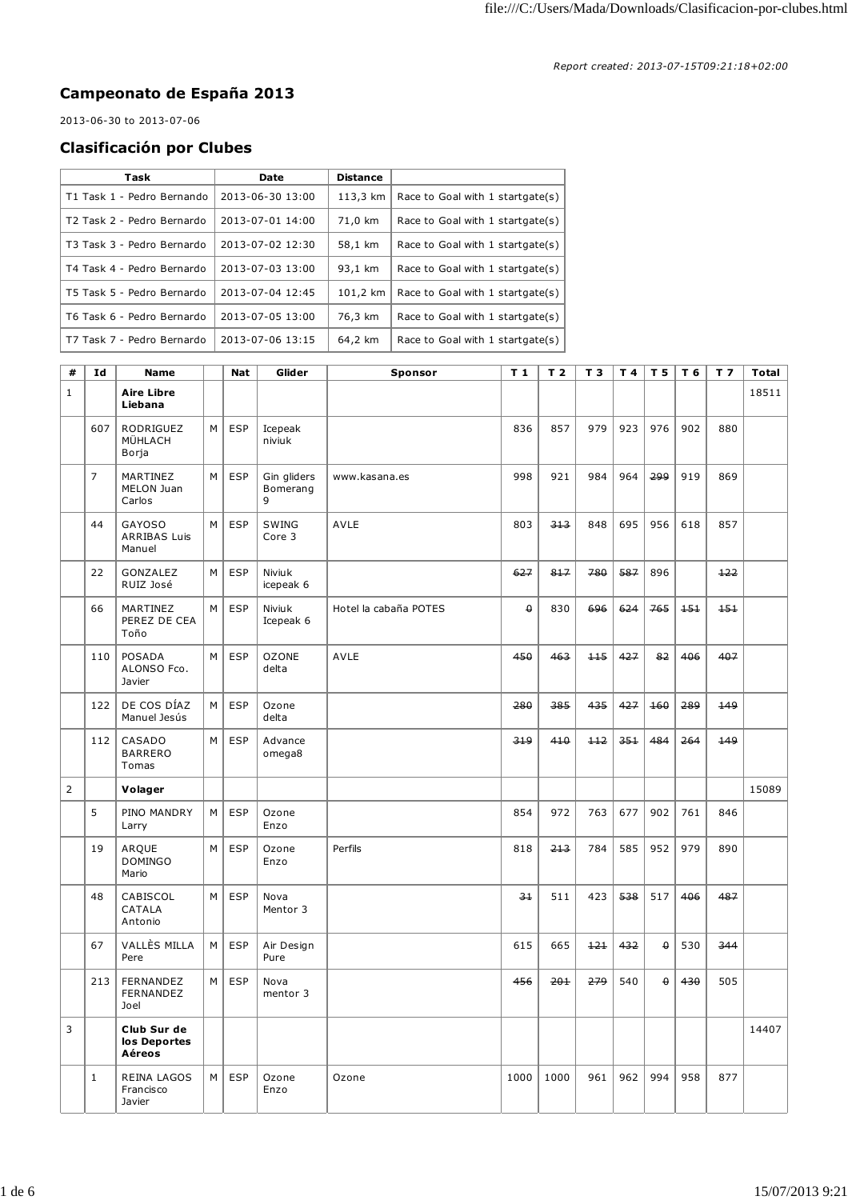## **Campeonato de España 2013**

2013-06-30 to 2013-07-06

## **Clasificación por Clubes**

| Task                                   | Date             | <b>Distance</b> |                                  |
|----------------------------------------|------------------|-----------------|----------------------------------|
| T1 Task 1 - Pedro Bernando             | 2013-06-30 13:00 | 113,3 km        | Race to Goal with 1 startgate(s) |
| T <sub>2</sub> Task 2 - Pedro Bernardo | 2013-07-01 14:00 | 71,0 km         | Race to Goal with 1 startgate(s) |
| T3 Task 3 - Pedro Bernardo             | 2013-07-02 12:30 | 58,1 km         | Race to Goal with 1 startgate(s) |
| T4 Task 4 - Pedro Bernardo             | 2013-07-03 13:00 | 93,1 km         | Race to Goal with 1 startgate(s) |
| T5 Task 5 - Pedro Bernardo             | 2013-07-04 12:45 | 101,2 km        | Race to Goal with 1 startgate(s) |
| T6 Task 6 - Pedro Bernardo             | 2013-07-05 13:00 | 76.3 km         | Race to Goal with 1 startgate(s) |
| T7 Task 7 - Pedro Bernardo             | 2013-07-06 13:15 | 64,2 km         | Race to Goal with 1 startgate(s) |

| #              | Id             | <b>Name</b>                                    |          | <b>Nat</b> | Glider                       | Sponsor               | T <sub>1</sub> | T <sub>2</sub> | T <sub>3</sub> | T 4 | T 5      | T 6         | T <sub>7</sub> | Total |
|----------------|----------------|------------------------------------------------|----------|------------|------------------------------|-----------------------|----------------|----------------|----------------|-----|----------|-------------|----------------|-------|
| $\mathbf{1}$   |                | <b>Aire Libre</b><br>Liebana                   |          |            |                              |                       |                |                |                |     |          |             |                | 18511 |
|                | 607            | <b>RODRIGUEZ</b><br>MÜHLACH<br>Borja           | M        | <b>ESP</b> | Icepeak<br>niviuk            |                       | 836            | 857            | 979            | 923 | 976      | 902         | 880            |       |
|                | $\overline{7}$ | MARTINEZ<br>MELON Juan<br>Carlos               | M        | <b>ESP</b> | Gin gliders<br>Bomerang<br>9 | www.kasana.es         | 998            | 921            | 984            | 964 | 299      | 919         | 869            |       |
|                | 44             | <b>GAYOSO</b><br><b>ARRIBAS Luis</b><br>Manuel | M        | <b>ESP</b> | <b>SWING</b><br>Core 3       | AVLE                  | 803            | 313            | 848            | 695 | 956      | 618         | 857            |       |
|                | 22             | GONZALEZ<br>RUIZ José                          | M        | <b>ESP</b> | Niviuk<br>icepeak 6          |                       | 627            | 817            | 780            | 587 | 896      |             | $+22$          |       |
|                | 66             | MARTINEZ<br>PEREZ DE CEA<br>Toño               | M        | <b>ESP</b> | Niviuk<br>Icepeak 6          | Hotel la cabaña POTES | $\pmb{\Theta}$ | 830            | 696            | 624 | 765      | $1 - 5 + 1$ | 151            |       |
|                | 110            | POSADA<br>ALONSO Fco.<br>Javier                | M        | <b>ESP</b> | <b>OZONE</b><br>delta        | AVLE                  | 450            | 463            | $+15$          | 427 | 82       | 406         | 407            |       |
|                | 122            | DE COS DÍAZ<br>Manuel Jesús                    | M        | <b>ESP</b> | Ozone<br>delta               |                       | 280            | 385            | 435            | 427 | 160      | 289         | 149            |       |
|                | 112            | CASADO<br><b>BARRERO</b><br>Tomas              | M        | <b>ESP</b> | Advance<br>omega8            |                       | 319            | 410            | $+12$          | 351 | 484      | 264         | 449            |       |
| $\overline{2}$ |                | Volager                                        |          |            |                              |                       |                |                |                |     |          |             |                | 15089 |
|                | 5              | PINO MANDRY<br>Larry                           | M        | <b>ESP</b> | Ozone<br>Enzo                |                       | 854            | 972            | 763            | 677 | 902      | 761         | 846            |       |
|                | 19             | ARQUE<br><b>DOMINGO</b><br>Mario               | M        | <b>ESP</b> | Ozone<br>Enzo                | Perfils               | 818            | 213            | 784            | 585 | 952      | 979         | 890            |       |
|                | 48             | CABISCOL<br>CATALA<br>Antonio                  | M        | <b>ESP</b> | Nova<br>Mentor 3             |                       | $-3+$          | 511            | 423            | 538 | 517      | 406         | 487            |       |
|                | 67             | VALLÈS MILLA<br>Pere                           | M        | <b>ESP</b> | Air Design<br>Pure           |                       | 615            | 665            | 121            | 432 | $\theta$ | 530         | 344            |       |
|                | 213            | <b>FERNANDEZ</b><br>FERNANDEZ<br>Joel          | М        | <b>ESP</b> | Nova<br>mentor 3             |                       | 456            | 201            | 279            | 540 | $\theta$ | 430         | 505            |       |
| 3              |                | Club Sur de<br>los Deportes<br>Aéreos          |          |            |                              |                       |                |                |                |     |          |             |                | 14407 |
|                | $\mathbf{1}$   | REINA LAGOS<br>Francisco<br>Javier             | $M \mid$ | <b>ESP</b> | Ozone<br>Enzo                | Ozone                 | 1000           | 1000           | 961            | 962 | 994      | 958         | 877            |       |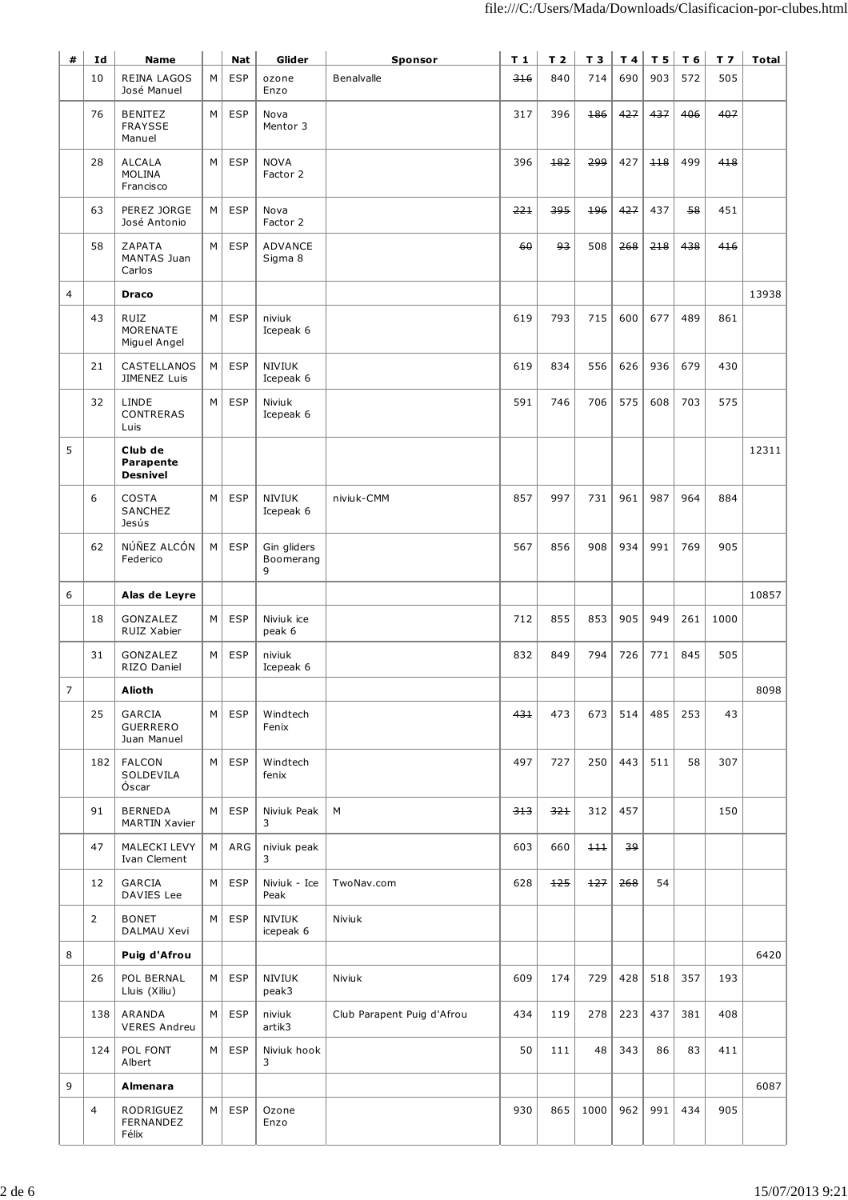| #              | Id             | <b>Name</b>                                 |   | <b>Nat</b> | Glider                        | <b>Sponsor</b>             | $T_1$ | T <sub>2</sub> | T3   |     | T4 T5 | $T_6$ | T <sub>7</sub> | Total |
|----------------|----------------|---------------------------------------------|---|------------|-------------------------------|----------------------------|-------|----------------|------|-----|-------|-------|----------------|-------|
|                | 10             | REINA LAGOS<br>José Manuel                  | М | <b>ESP</b> | ozone<br>Enzo                 | Benalvalle                 | 316   | 840            | 714  | 690 | 903   | 572   | 505            |       |
|                | 76             | <b>BENITEZ</b><br><b>FRAYSSE</b><br>Manuel  | M | <b>ESP</b> | Nova<br>Mentor 3              |                            | 317   | 396            | 186  | 427 | 437   | 406   | 407            |       |
|                | 28             | <b>ALCALA</b><br><b>MOLINA</b><br>Francisco | M | <b>ESP</b> | <b>NOVA</b><br>Factor 2       |                            | 396   | 182            | 299  | 427 | $+18$ | 499   | 418            |       |
|                | 63             | PEREZ JORGE<br>José Antonio                 | М | <b>ESP</b> | Nova<br>Factor 2              |                            | 221   | 395            | 496  | 427 | 437   | 58    | 451            |       |
|                | 58             | ZAPATA<br>MANTAS Juan<br>Carlos             | М | <b>ESP</b> | ADVANCE<br>Sigma 8            |                            | 60    | وو             | 508  | 268 | 218   | 438   | 416            |       |
| 4              |                | <b>Draco</b>                                |   |            |                               |                            |       |                |      |     |       |       |                | 13938 |
|                | 43             | <b>RUIZ</b><br>MORENATE<br>Miguel Angel     | M | <b>ESP</b> | niviuk<br>Icepeak 6           |                            | 619   | 793            | 715  | 600 | 677   | 489   | 861            |       |
|                | 21             | CASTELLANOS<br>JIMENEZ Luis                 | М | <b>ESP</b> | <b>NIVIUK</b><br>Icepeak 6    |                            | 619   | 834            | 556  | 626 | 936   | 679   | 430            |       |
|                | 32             | <b>LINDE</b><br>CONTRERAS<br>Luis           | M | <b>ESP</b> | Niviuk<br>Icepeak 6           |                            | 591   | 746            | 706  | 575 | 608   | 703   | 575            |       |
| 5              |                | Club de<br>Parapente<br><b>Desnivel</b>     |   |            |                               |                            |       |                |      |     |       |       |                | 12311 |
|                | 6              | COSTA<br>SANCHEZ<br>Jesús                   | M | <b>ESP</b> | <b>NIVIUK</b><br>Icepeak 6    | niviuk-CMM                 | 857   | 997            | 731  | 961 | 987   | 964   | 884            |       |
|                | 62             | NÚÑEZ ALCÓN<br>Federico                     | М | <b>ESP</b> | Gin gliders<br>Boomerang<br>9 |                            | 567   | 856            | 908  | 934 | 991   | 769   | 905            |       |
| 6              |                | Alas de Leyre                               |   |            |                               |                            |       |                |      |     |       |       |                | 10857 |
|                | 18             | <b>GONZALEZ</b><br>RUIZ Xabier              | М | <b>ESP</b> | Niviuk ice<br>peak 6          |                            | 712   | 855            | 853  | 905 | 949   | 261   | 1000           |       |
|                | 31             | GONZALEZ<br>RIZO Daniel                     | M | <b>ESP</b> | niviuk<br>Icepeak 6           |                            | 832   | 849            | 794  | 726 | 771   | 845   | 505            |       |
| $\overline{7}$ |                | <b>Alioth</b>                               |   |            |                               |                            |       |                |      |     |       |       |                | 8098  |
|                | 25             | GARCIA<br>GUERRERO<br>Juan Manuel           | М | <b>ESP</b> | Windtech<br>Fenix             |                            | 431   | 473            | 673  | 514 | 485   | 253   | 43             |       |
|                | 182            | <b>FALCON</b><br>SOLDEVILA<br>Óscar         | M | <b>ESP</b> | Windtech<br>fenix             |                            | 497   | 727            | 250  | 443 | 511   | 58    | 307            |       |
|                | 91             | <b>BERNEDA</b><br>MARTIN Xavier             | м | <b>ESP</b> | Niviuk Peak<br>3              | М                          | 313   | 321            | 312  | 457 |       |       | 150            |       |
|                | 47             | MALECKI LEVY<br>Ivan Clement                | м | ARG        | niviuk peak<br>3              |                            | 603   | 660            | 111  | 39  |       |       |                |       |
|                | 12             | GARCIA<br>DAVIES Lee                        | м | <b>ESP</b> | Niviuk - Ice<br>Peak          | TwoNav.com                 | 628   | 125            | 127  | 268 | 54    |       |                |       |
|                | $\overline{2}$ | <b>BONET</b><br>DALMAU Xevi                 | М | <b>ESP</b> | <b>NIVIUK</b><br>icepeak 6    | Niviuk                     |       |                |      |     |       |       |                |       |
| 8              |                | Puig d'Afrou                                |   |            |                               |                            |       |                |      |     |       |       |                | 6420  |
|                | 26             | POL BERNAL<br>Lluis (Xiliu)                 | М | <b>ESP</b> | <b>NIVIUK</b><br>peak3        | Niviuk                     | 609   | 174            | 729  | 428 | 518   | 357   | 193            |       |
|                | 138            | ARANDA<br><b>VERES Andreu</b>               | м | <b>ESP</b> | niviuk<br>artik3              | Club Parapent Puig d'Afrou | 434   | 119            | 278  | 223 | 437   | 381   | 408            |       |
|                | 124            | POL FONT<br>Albert                          | M | <b>ESP</b> | Niviuk hook<br>3              |                            | 50    | 111            | 48   | 343 | 86    | 83    | 411            |       |
| 9              |                | Almenara                                    |   |            |                               |                            |       |                |      |     |       |       |                | 6087  |
|                | $\overline{4}$ | RODRIGUEZ<br>FERNANDEZ<br>Félix             | м | <b>ESP</b> | Ozone<br>Enzo                 |                            | 930   | 865            | 1000 | 962 | 991   | 434   | 905            |       |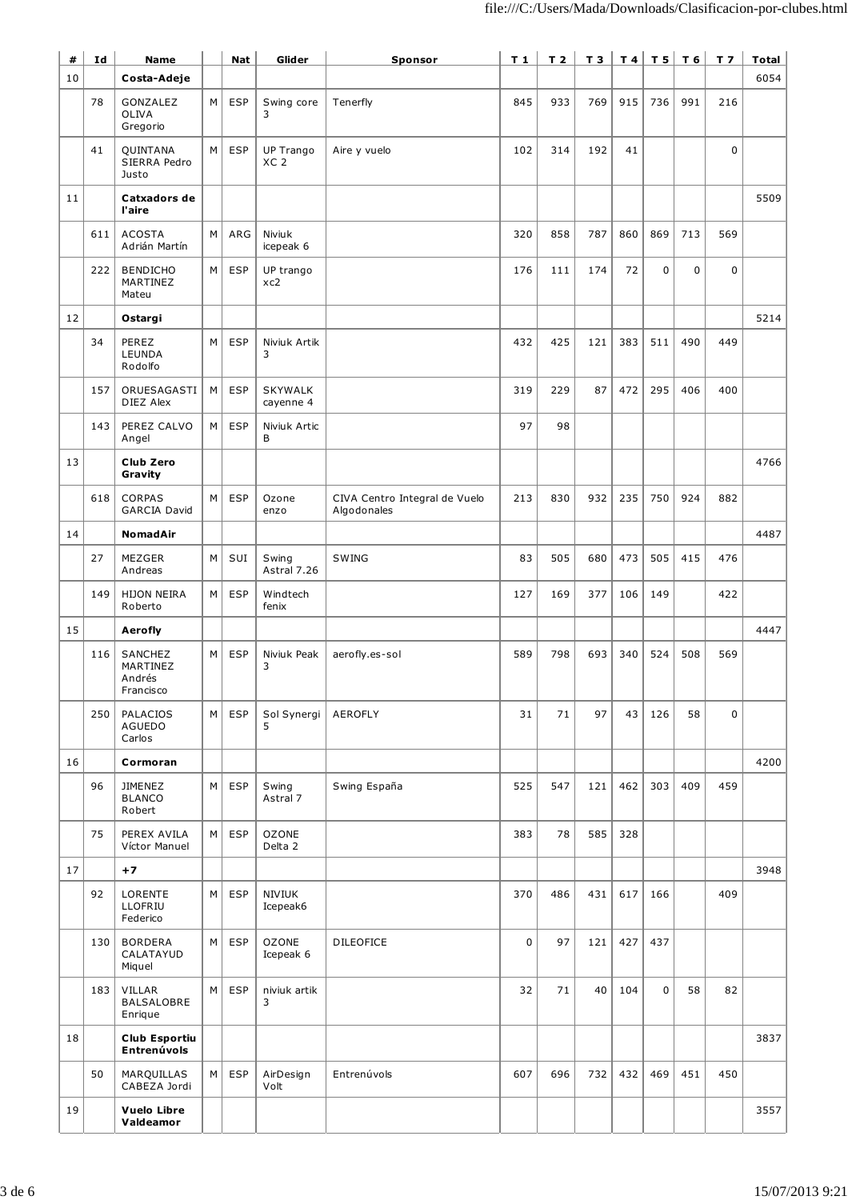| #  | Id  | <b>Name</b>                                |   | <b>Nat</b> | Glider                       | Sponsor                                      | $T_1$       | T <sub>2</sub> | T3  |     |             | T4 TS T6 T7 |             | Total |
|----|-----|--------------------------------------------|---|------------|------------------------------|----------------------------------------------|-------------|----------------|-----|-----|-------------|-------------|-------------|-------|
| 10 |     | Costa-Adeje                                |   |            |                              |                                              |             |                |     |     |             |             |             | 6054  |
|    | 78  | GONZALEZ<br><b>OLIVA</b><br>Gregorio       | M | <b>ESP</b> | Swing core<br>3              | Tenerfly                                     | 845         | 933            | 769 | 915 | 736         | 991         | 216         |       |
|    | 41  | QUINTANA<br>SIERRA Pedro<br>Justo          | М | <b>ESP</b> | UP Trango<br>XC <sub>2</sub> | Aire y vuelo                                 | 102         | 314            | 192 | 41  |             |             | $\mathbf 0$ |       |
| 11 |     | Catxadors de<br>l'aire                     |   |            |                              |                                              |             |                |     |     |             |             |             | 5509  |
|    | 611 | <b>ACOSTA</b><br>Adrián Martín             | М | ARG        | Niviuk<br>icepeak 6          |                                              | 320         | 858            | 787 | 860 | 869         | 713         | 569         |       |
|    | 222 | <b>BENDICHO</b><br>MARTINEZ<br>Mateu       | М | <b>ESP</b> | UP trango<br>xc2             |                                              | 176         | 111            | 174 | 72  | $\mathbf 0$ | 0           | 0           |       |
| 12 |     | Ostargi                                    |   |            |                              |                                              |             |                |     |     |             |             |             | 5214  |
|    | 34  | PEREZ<br>LEUNDA<br>Rodolfo                 | M | <b>ESP</b> | Niviuk Artik<br>3            |                                              | 432         | 425            | 121 | 383 | 511         | 490         | 449         |       |
|    | 157 | ORUESAGASTI<br>DIEZ Alex                   | M | <b>ESP</b> | <b>SKYWALK</b><br>cayenne 4  |                                              | 319         | 229            | 87  | 472 | 295         | 406         | 400         |       |
|    | 143 | PEREZ CALVO<br>Angel                       | M | <b>ESP</b> | Niviuk Artic<br>B            |                                              | 97          | 98             |     |     |             |             |             |       |
| 13 |     | Club Zero<br>Gravity                       |   |            |                              |                                              |             |                |     |     |             |             |             | 4766  |
|    | 618 | <b>CORPAS</b><br><b>GARCIA David</b>       | М | <b>ESP</b> | Ozone<br>enzo                | CIVA Centro Integral de Vuelo<br>Algodonales | 213         | 830            | 932 | 235 | 750         | 924         | 882         |       |
| 14 |     | <b>NomadAir</b>                            |   |            |                              |                                              |             |                |     |     |             |             |             | 4487  |
|    | 27  | MEZGER<br>Andreas                          | М | SUI        | Swing<br>Astral 7.26         | SWING                                        | 83          | 505            | 680 | 473 | 505         | 415         | 476         |       |
|    | 149 | <b>HIJON NEIRA</b><br>Roberto              | М | <b>ESP</b> | Windtech<br>fenix            |                                              | 127         | 169            | 377 | 106 | 149         |             | 422         |       |
| 15 |     | <b>Aerofly</b>                             |   |            |                              |                                              |             |                |     |     |             |             |             | 4447  |
|    | 116 | SANCHEZ<br>MARTINEZ<br>Andrés<br>Francisco | М | <b>ESP</b> | Niviuk Peak<br>3             | aerofly.es-sol                               | 589         | 798            | 693 | 340 | 524         | 508         | 569         |       |
|    | 250 | PALACIOS<br>AGUEDO<br>Carlos               | M | <b>ESP</b> | Sol Synergi<br>5             | <b>AEROFLY</b>                               | 31          | 71             | 97  | 43  | 126         | 58          | 0           |       |
| 16 |     | Cormoran                                   |   |            |                              |                                              |             |                |     |     |             |             |             | 4200  |
|    | 96  | JIMENEZ<br><b>BLANCO</b><br>Robert         | М | <b>ESP</b> | Swing<br>Astral 7            | Swing España                                 | 525         | 547            | 121 | 462 | 303         | 409         | 459         |       |
|    | 75  | PEREX AVILA<br>Víctor Manuel               | М | <b>ESP</b> | <b>OZONE</b><br>Delta 2      |                                              | 383         | 78             | 585 | 328 |             |             |             |       |
| 17 |     | $+7$                                       |   |            |                              |                                              |             |                |     |     |             |             |             | 3948  |
|    | 92  | LORENTE<br>LLOFRIU<br>Federico             | М | <b>ESP</b> | NIVIUK<br>Icepeak6           |                                              | 370         | 486            | 431 | 617 | 166         |             | 409         |       |
|    | 130 | <b>BORDERA</b><br>CALATAYUD<br>Miquel      | М | <b>ESP</b> | <b>OZONE</b><br>Icepeak 6    | <b>DILEOFICE</b>                             | $\mathbf 0$ | 97             | 121 | 427 | 437         |             |             |       |
|    | 183 | VILLAR<br>BALSALOBRE<br>Enrique            | М | <b>ESP</b> | niviuk artik<br>3            |                                              | 32          | 71             | 40  | 104 | $\mathbf 0$ | 58          | 82          |       |
| 18 |     | <b>Club Esportiu</b><br><b>Entrenúvols</b> |   |            |                              |                                              |             |                |     |     |             |             |             | 3837  |
|    | 50  | MARQUILLAS<br>CABEZA Jordi                 | M | <b>ESP</b> | AirDesign<br>Volt            | Entrenúvols                                  | 607         | 696            | 732 | 432 | 469         | 451         | 450         |       |
| 19 |     | <b>Vuelo Libre</b><br>Valdeamor            |   |            |                              |                                              |             |                |     |     |             |             |             | 3557  |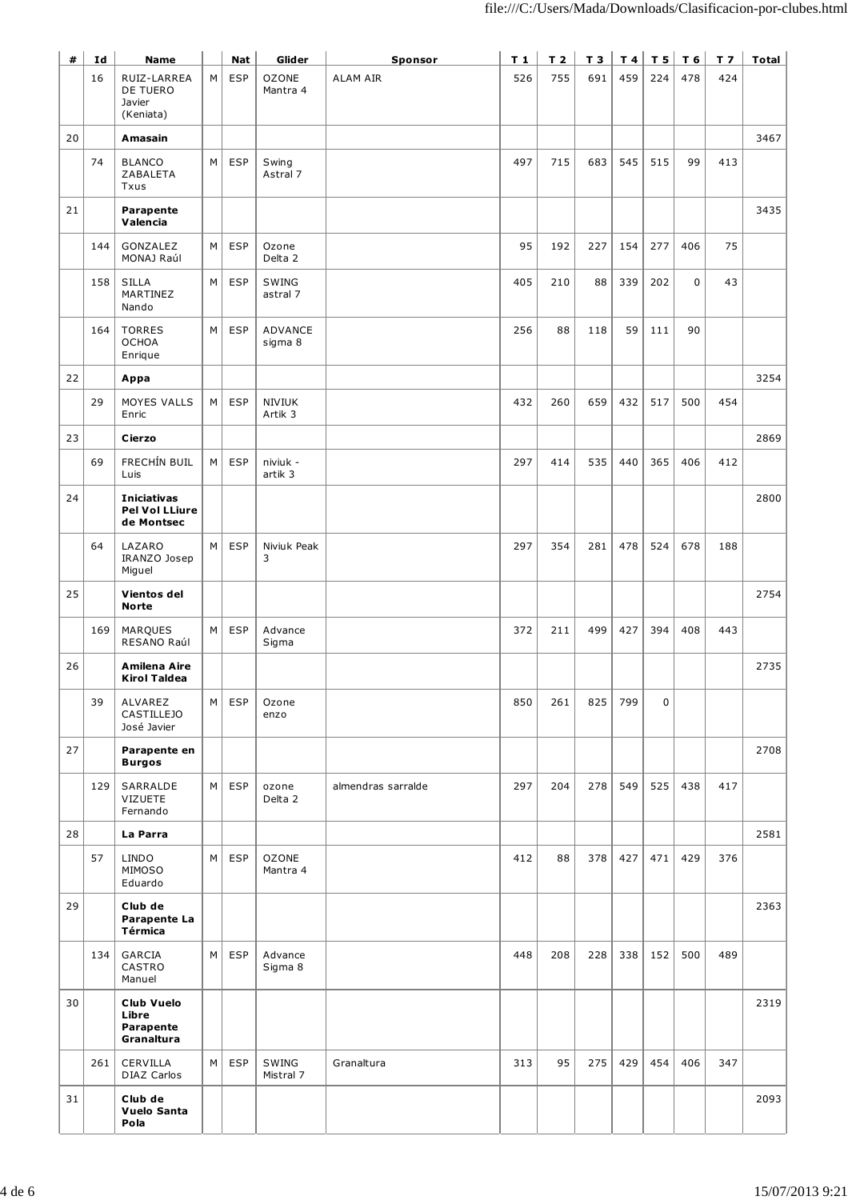| #  | Id  | <b>Name</b>                                           |          | <b>Nat</b> | Glider                   | Sponsor            | $T_1$ | T <sub>2</sub> | T 3 |     | $T4$ T 5    | $T_6$ | T <sub>7</sub> | <b>Total</b> |
|----|-----|-------------------------------------------------------|----------|------------|--------------------------|--------------------|-------|----------------|-----|-----|-------------|-------|----------------|--------------|
|    | 16  | RUIZ-LARREA<br>DE TUERO<br>Javier<br>(Keniata)        | M        | <b>ESP</b> | <b>OZONE</b><br>Mantra 4 | <b>ALAM AIR</b>    | 526   | 755            | 691 | 459 | 224         | 478   | 424            |              |
| 20 |     | Amasain                                               |          |            |                          |                    |       |                |     |     |             |       |                | 3467         |
|    | 74  | <b>BLANCO</b><br>ZABALETA<br>Txus                     | M        | <b>ESP</b> | Swing<br>Astral 7        |                    | 497   | 715            | 683 | 545 | 515         | 99    | 413            |              |
| 21 |     | Parapente<br>Valencia                                 |          |            |                          |                    |       |                |     |     |             |       |                | 3435         |
|    | 144 | GONZALEZ<br>MONAJ Raúl                                | $M \mid$ | <b>ESP</b> | Ozone<br>Delta 2         |                    | 95    | 192            | 227 | 154 | 277         | 406   | 75             |              |
|    | 158 | <b>SILLA</b><br>MARTINEZ<br>Nando                     | M        | <b>ESP</b> | SWING<br>astral 7        |                    | 405   | 210            | 88  | 339 | 202         | 0     | 43             |              |
|    | 164 | <b>TORRES</b><br><b>OCHOA</b><br>Enrique              | M        | <b>ESP</b> | ADVANCE<br>sigma 8       |                    | 256   | 88             | 118 | 59  | 111         | 90    |                |              |
| 22 |     | Appa                                                  |          |            |                          |                    |       |                |     |     |             |       |                | 3254         |
|    | 29  | MOYES VALLS<br>Enric                                  | M        | <b>ESP</b> | <b>NIVIUK</b><br>Artik 3 |                    | 432   | 260            | 659 | 432 | 517         | 500   | 454            |              |
| 23 |     | Cierzo                                                |          |            |                          |                    |       |                |     |     |             |       |                | 2869         |
|    | 69  | FRECHÍN BUIL<br>Luis                                  | M        | ESP        | niviuk -<br>artik 3      |                    | 297   | 414            | 535 | 440 | 365         | 406   | 412            |              |
| 24 |     | <b>Iniciativas</b><br>Pel Vol LLiure<br>de Montsec    |          |            |                          |                    |       |                |     |     |             |       |                | 2800         |
|    | 64  | LAZARO<br>IRANZO Josep<br>Miguel                      | M        | <b>ESP</b> | Niviuk Peak<br>3         |                    | 297   | 354            | 281 | 478 | 524         | 678   | 188            |              |
| 25 |     | Vientos del<br><b>Norte</b>                           |          |            |                          |                    |       |                |     |     |             |       |                | 2754         |
|    | 169 | MARQUES<br>RESANO Raúl                                | $M \mid$ | <b>ESP</b> | Advance<br>Sigma         |                    | 372   | 211            | 499 | 427 | 394         | 408   | 443            |              |
| 26 |     | Amilena Aire<br><b>Kirol Taldea</b>                   |          |            |                          |                    |       |                |     |     |             |       |                | 2735         |
|    | 39  | ALVAREZ<br><b>CASTILLEJO</b><br>José Javier           | M        | <b>ESP</b> | Ozone<br>enzo            |                    | 850   | 261            | 825 | 799 | $\mathbf 0$ |       |                |              |
| 27 |     | Parapente en<br><b>Burgos</b>                         |          |            |                          |                    |       |                |     |     |             |       |                | 2708         |
|    | 129 | SARRALDE<br><b>VIZUETE</b><br>Fernando                | $M \mid$ | <b>ESP</b> | ozone<br>Delta 2         | almendras sarralde | 297   | 204            | 278 | 549 | 525         | 438   | 417            |              |
| 28 |     | La Parra                                              |          |            |                          |                    |       |                |     |     |             |       |                | 2581         |
|    | 57  | <b>LINDO</b><br>MIMOSO<br>Eduardo                     | M        | <b>ESP</b> | <b>OZONE</b><br>Mantra 4 |                    | 412   | 88             | 378 | 427 | 471         | 429   | 376            |              |
| 29 |     | Club de<br>Parapente La<br>Térmica                    |          |            |                          |                    |       |                |     |     |             |       |                | 2363         |
|    | 134 | GARCIA<br>CASTRO<br>Manuel                            | M        | <b>ESP</b> | Advance<br>Sigma 8       |                    | 448   | 208            | 228 | 338 | 152         | 500   | 489            |              |
| 30 |     | <b>Club Vuelo</b><br>Libre<br>Parapente<br>Granaltura |          |            |                          |                    |       |                |     |     |             |       |                | 2319         |
|    | 261 | CERVILLA<br>DIAZ Carlos                               | M        | <b>ESP</b> | SWING<br>Mistral 7       | Granaltura         | 313   | 95             | 275 | 429 | 454         | 406   | 347            |              |
| 31 |     | Club de<br>Vuelo Santa<br>Pola                        |          |            |                          |                    |       |                |     |     |             |       |                | 2093         |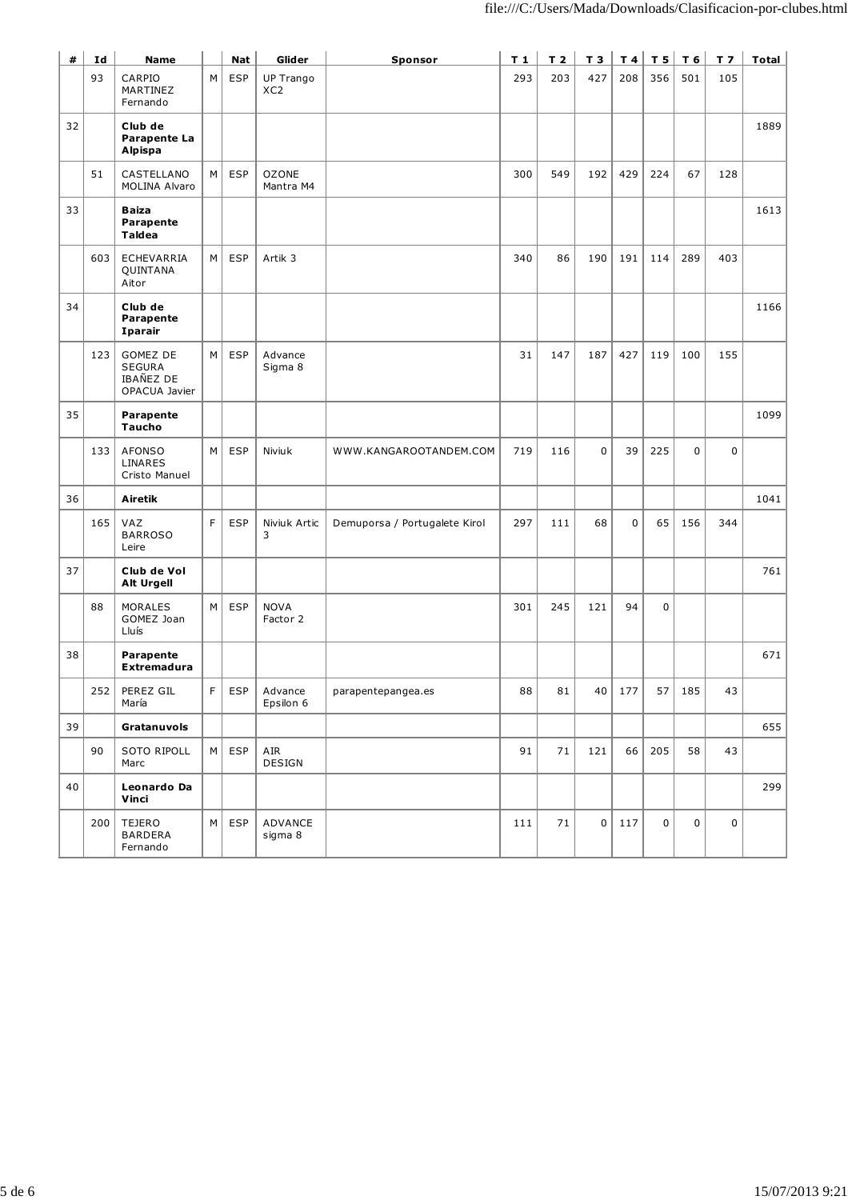| #  | Id  | <b>Name</b>                                                    |    | <b>Nat</b> | Glider                              | Sponsor                       | $T_1$ | T <sub>2</sub> | T 3            | T 4 | T <sub>5</sub> | T 6 | $T$ 7       | <b>Total</b> |
|----|-----|----------------------------------------------------------------|----|------------|-------------------------------------|-------------------------------|-------|----------------|----------------|-----|----------------|-----|-------------|--------------|
|    | 93  | CARPIO<br>MARTINEZ<br>Fernando                                 | M  | <b>ESP</b> | <b>UP Trango</b><br>XC <sub>2</sub> |                               | 293   | 203            | 427            | 208 | 356            | 501 | 105         |              |
| 32 |     | Club de<br>Parapente La<br>Alpispa                             |    |            |                                     |                               |       |                |                |     |                |     |             | 1889         |
|    | 51  | CASTELLANO<br>MOLINA Alvaro                                    | М  | <b>ESP</b> | <b>OZONE</b><br>Mantra M4           |                               | 300   | 549            | 192            | 429 | 224            | 67  | 128         |              |
| 33 |     | <b>Baiza</b><br>Parapente<br>Taldea                            |    |            |                                     |                               |       |                |                |     |                |     |             | 1613         |
|    | 603 | ECHEVARRIA<br>QUINTANA<br>Aitor                                | М  | <b>ESP</b> | Artik 3                             |                               | 340   | 86             | 190            | 191 | 114            | 289 | 403         |              |
| 34 |     | Club de<br>Parapente<br>Iparair                                |    |            |                                     |                               |       |                |                |     |                |     |             | 1166         |
|    | 123 | GOMEZ DE<br><b>SEGURA</b><br><b>IBAÑEZ DE</b><br>OPACUA Javier | M  | <b>ESP</b> | Advance<br>Sigma 8                  |                               | 31    | 147            | 187            | 427 | 119            | 100 | 155         |              |
| 35 |     | Parapente<br><b>Taucho</b>                                     |    |            |                                     |                               |       |                |                |     |                |     |             | 1099         |
|    | 133 | <b>AFONSO</b><br>LINARES<br>Cristo Manuel                      | М  | <b>ESP</b> | Niviuk                              | WWW.KANGAROOTANDEM.COM        | 719   | 116            | $\mathbf 0$    | 39  | 225            | 0   | $\mathbf 0$ |              |
| 36 |     | <b>Airetik</b>                                                 |    |            |                                     |                               |       |                |                |     |                |     |             | 1041         |
|    | 165 | VAZ<br><b>BARROSO</b><br>Leire                                 | F. | <b>ESP</b> | Niviuk Artic<br>3                   | Demuporsa / Portugalete Kirol | 297   | 111            | 68             | 0   | 65             | 156 | 344         |              |
| 37 |     | Club de Vol<br><b>Alt Urgell</b>                               |    |            |                                     |                               |       |                |                |     |                |     |             | 761          |
|    | 88  | <b>MORALES</b><br>GOMEZ Joan<br>Lluís                          | М  | <b>ESP</b> | <b>NOVA</b><br>Factor 2             |                               | 301   | 245            | 121            | 94  | $\mathbf 0$    |     |             |              |
| 38 |     | Parapente<br><b>Extremadura</b>                                |    |            |                                     |                               |       |                |                |     |                |     |             | 671          |
|    | 252 | PEREZ GIL<br>María                                             | F  | <b>ESP</b> | Advance<br>Epsilon 6                | parapentepangea.es            | 88    | 81             | 40             | 177 | 57             | 185 | 43          |              |
| 39 |     | Gratanuvols                                                    |    |            |                                     |                               |       |                |                |     |                |     |             | 655          |
|    | 90  | SOTO RIPOLL<br>Marc                                            | M  | <b>ESP</b> | AIR<br><b>DESIGN</b>                |                               | 91    | 71             | 121            | 66  | 205            | 58  | 43          |              |
| 40 |     | Leonardo Da<br>Vinci                                           |    |            |                                     |                               |       |                |                |     |                |     |             | 299          |
|    | 200 | TEJERO<br><b>BARDERA</b><br>Fernando                           | M  | <b>ESP</b> | ADVANCE<br>sigma 8                  |                               | 111   | 71             | 0 <sup>1</sup> | 117 | $\mathbf 0$    | 0   | $\mathbf 0$ |              |